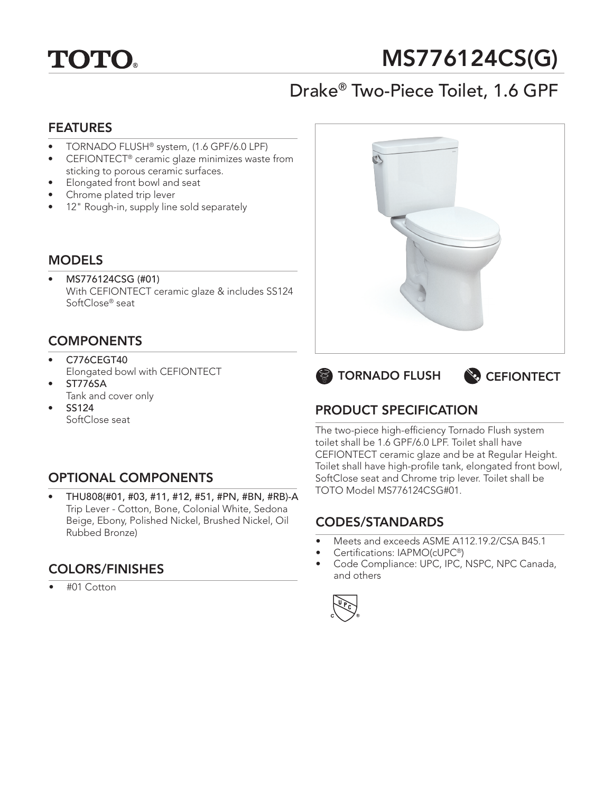

# MS776124CS(G)

## Drake® Two-Piece Toilet, 1.6 GPF

#### FEATURES

- TORNADO FLUSH® system, (1.6 GPF/6.0 LPF)
- CEFIONTECT<sup>®</sup> ceramic glaze minimizes waste from sticking to porous ceramic surfaces.
- Elongated front bowl and seat
- Chrome plated trip lever
- 12" Rough-in, supply line sold separately

#### MODELS

• MS776124CSG (#01) With CEFIONTECT ceramic glaze & includes SS124 SoftClose® seat

### **COMPONENTS**

- C776CEGT40 Elongated bowl with CEFIONTECT
- ST776SA Tank and cover only
- SS124 SoftClose seat

## OPTIONAL COMPONENTS

• THU808(#01, #03, #11, #12, #51, #PN, #BN, #RB)-A Trip Lever - Cotton, Bone, Colonial White, Sedona Beige, Ebony, Polished Nickel, Brushed Nickel, Oil Rubbed Bronze)

## COLORS/FINISHES

• #01 Cotton







## PRODUCT SPECIFICATION

The two-piece high-efficiency Tornado Flush system toilet shall be 1.6 GPF/6.0 LPF. Toilet shall have CEFIONTECT ceramic glaze and be at Regular Height. Toilet shall have high-profile tank, elongated front bowl, SoftClose seat and Chrome trip lever. Toilet shall be TOTO Model MS776124CSG#01.

### CODES/STANDARDS

- Meets and exceeds ASME A112.19.2/CSA B45.1
- Certifications: IAPMO(cUPC®)
- Code Compliance: UPC, IPC, NSPC, NPC Canada, and others